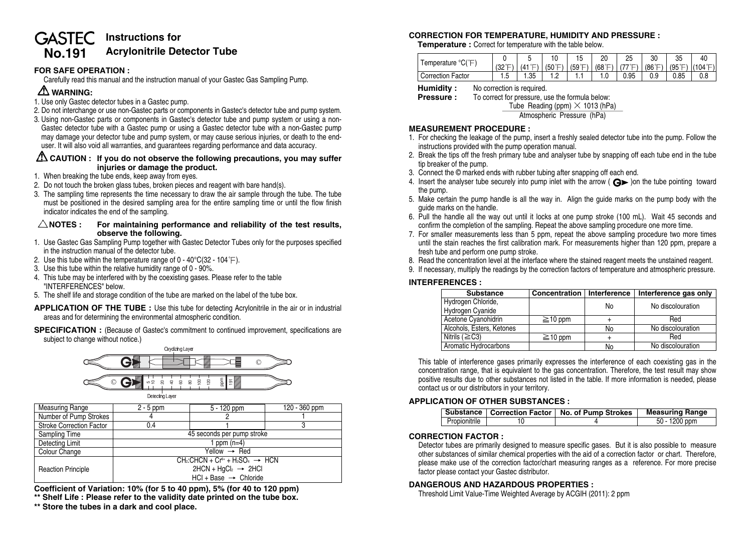# **GASTEC Instructions for No.191 Acrylonitrile Detector Tube**

# **FOR SAFE OPERATION :**

Carefully read this manual and the instruction manual of your Gastec Gas Sampling Pump.

# **WARNING:**

- 1. Use only Gastec detector tubes in a Gastec pump.
- 2. Do not interchange or use non-Gastec parts or components in Gastec's detector tube and pump system.
- 3. Using non-Gastec parts or components in Gastec's detector tube and pump system or using a non-Gastec detector tube with a Gastec pump or using a Gastec detector tube with a non-Gastec pump may damage your detector tube and pump system, or may cause serious injuries, or death to the enduser. It will also void all warranties, and guarantees regarding performance and data accuracy.

### **CAUTION : If you do not observe the following precautions, you may suffer injuries or damage the product.**

- 1. When breaking the tube ends, keep away from eyes.
- 2. Do not touch the broken glass tubes, broken pieces and reagent with bare hand(s).
- 3. The sampling time represents the time necessary to draw the air sample through the tube. The tube must be positioned in the desired sampling area for the entire sampling time or until the flow finish indicator indicates the end of the sampling.

#### $\triangle$ NOTES : For maintaining performance and reliability of the test results, **observe the following.**

- 1. Use Gastec Gas Sampling Pump together with Gastec Detector Tubes only for the purposes specified in the instruction manual of the detector tube.
- 2. Use this tube within the temperature range of  $0 40^{\circ}C(32 104^{\circ}F)$ .
- 3. Use this tube within the relative humidity range of 0 90%.
- 4. This tube may be interfered with by the coexisting gases. Please refer to the table "INTERFERENCES" below.
- 5. The shelf life and storage condition of the tube are marked on the label of the tube box.

**APPLICATION OF THE TUBE :** Use this tube for detecting Acrylonitrile in the air or in industrial areas and for determining the environmental atmospheric condition.

**SPECIFICATION** : (Because of Gastec's commitment to continued improvement, specifications are subject to change without notice.)



**Coefficient of Variation: 10% (for 5 to 40 ppm), 5% (for 40 to 120 ppm) \*\* Shelf Life : Please refer to the validity date printed on the tube box.**

**\*\* Store the tubes in a dark and cool place.**

# **CORRECTION FOR TEMPERATURE, HUMIDITY AND PRESSURE :**

**Temperature :** Correct for temperature with the table below.

| iemperature<br>⊢<br>U  |                   |                                                |        |        | n۵     | 25   | 30                    | 35   | 40                                  |
|------------------------|-------------------|------------------------------------------------|--------|--------|--------|------|-----------------------|------|-------------------------------------|
|                        | $\sqrt{2}$<br>132 | . $(41^{\circ}$ <sup><math>\Gamma</math></sup> | (50°F) | (59°F) | (68°F) | 77°⊏ | $(86^\circ \text{F})$ |      | $(95^{\circ}F)$ (104 $^{\circ}F)$ ) |
| . Factor<br>Correction | ں                 | 1.35                                           | ے. ا   | .      | . . U  | 0.95 | 0.9                   | 0.85 | 0.8                                 |

**Humidity :** No correction is required.<br>**Pressure :** To correct for pressure. u

To correct for pressure, use the formula below:<br>Tube Reading (ppm)  $\times$  1013 (hPa)

Atmospheric Pressure (hPa)

#### **MEASUREMENT PROCEDURE :**

- 1. For checking the leakage of the pump, insert a freshly sealed detector tube into the pump. Follow the instructions provided with the pump operation manual.
- 2. Break the tips off the fresh primary tube and analyser tube by snapping off each tube end in the tube tip breaker of the pump.
- 3. Connect the © marked ends with rubber tubing after snapping off each end.
- 4. Insert the analyser tube securely into pump inlet with the arrow ( $\bigodot$ ) on the tube pointing toward the pump.
- 5. Make certain the pump handle is all the way in. Align the guide marks on the pump body with the guide marks on the handle.
- 6. Pull the handle all the way out until it locks at one pump stroke (100 mL). Wait 45 seconds and confirm the completion of the sampling. Repeat the above sampling procedure one more time.
- 7. For smaller measurements less than 5 ppm, repeat the above sampling procedure two more times until the stain reaches the first calibration mark. For measurements higher than 120 ppm, prepare a fresh tube and perform one pump stroke.
- 8. Read the concentration level at the interface where the stained reagent meets the unstained reagent.
- 9. If necessary, multiply the readings by the correction factors of temperature and atmospheric pressure.

# **INTERFERENCES :**

| <b>Substance</b>                       | Concentration | Interference | Interference gas only |
|----------------------------------------|---------------|--------------|-----------------------|
| Hydrogen Chloride,<br>Hydrogen Cyanide |               | No           | No discolouration     |
| Acetone Cyanohidrin                    | $\geq$ 10 ppm |              | Red                   |
| Alcohols, Esters, Ketones              |               | No           | No discolouration     |
| Nitrils ( $\geq$ C3)                   | $\geq$ 10 ppm |              | Red                   |
| Aromatic Hydrocarbons                  |               | No           | No discolouration     |

This table of interference gases primarily expresses the interference of each coexisting gas in the concentration range, that is equivalent to the gas concentration. Therefore, the test result may show positive results due to other substances not listed in the table. If more information is needed, please contact us or our distributors in your territory.

# **APPLICATION OF OTHER SUBSTANCES :**

|               | Substance   Correction Factor   No. of Pump Strokes | <b>Measuring Range</b> |
|---------------|-----------------------------------------------------|------------------------|
| Propionitrile |                                                     | 50 - 1200 ppm          |

#### **CORRECTION FACTOR :**

Detector tubes are primarily designed to measure specific gases. But it is also possible to measure other substances of similar chemical properties with the aid of a correction factor or chart. Therefore, please make use of the correction factor/chart measuring ranges as a reference. For more precise factor please contact your Gastec distributor.

#### **DANGEROUS AND HAZARDOUS PROPERTIES :**

Threshold Limit Value-Time Weighted Average by ACGIH (2011): 2 ppm